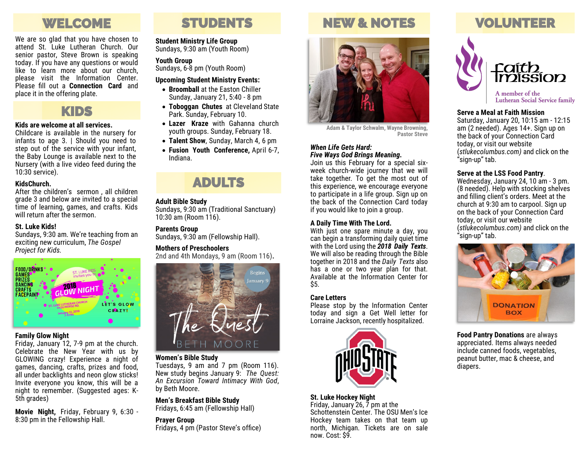# WELCOME

We are so glad that you have chosen to attend St. Luke Lutheran Church. Our senior pastor, Steve Brown is speaking today. If you have any questions or would like to learn more about our church, please visit the Information Center. Please fill out a **Connection Card** and place it in the offering plate.



#### **Kids are welcome at all services.**

Childcare is available in the nursery for infants to age 3. | Should you need to step out of the service with your infant, the Baby Lounge is available next to the Nursery (with a live video feed during the 10:30 service).

#### **KidsChurch.**

After the children's sermon , all children grade 3 and below are invited to a special time of learning, games, and crafts. Kids will return after the sermon.

#### **St. Luke Kids!**

Sundays, 9:30 am. We're teaching from an exciting new curriculum, *The Gospel Project for Kids.* 



#### **Family Glow Night**

Friday, January 12, 7-9 pm at the church. Celebrate the New Year with us by GLOWING crazy! Experience a night of games, dancing, crafts, prizes and food, all under backlights and neon glow sticks! Invite everyone you know, this will be a night to remember. (Suggested ages: K-5th grades)

**Movie Night,** Friday, February 9, 6:30 - 8:30 pm in the Fellowship Hall.

# STUDENTS

#### **Student Ministry Life Group**

Sundays, 9:30 am (Youth Room)

#### **Youth Group**

Sundays, 6-8 pm (Youth Room)

#### **Upcoming Student Ministry Events:**

- **Broomball** at the Easton Chiller Sunday, January 21, 5:40 - 8 pm
- **Toboggan Chutes** at Cleveland State Park. Sunday, February 10.
- **Lazer Kraze** with Gahanna church youth groups. Sunday, February 18.
- **Talent Show**, Sunday, March 4, 6 pm
- **Fusion Youth Conference,** April 6-7, Indiana.

### ADULTS

#### **Adult Bible Study**

Sundays, 9:30 am (Traditional Sanctuary) 10:30 am (Room 116).

#### **Parents Group**

Sundays, 9:30 am (Fellowship Hall).

#### **Mothers of Preschoolers**

2nd and 4th Mondays, 9 am (Room 116)**.** 



#### **Women's Bible Study**

Tuesdays, 9 am and 7 pm (Room 116). New study begins January 9: *The Quest: An Excursion Toward Intimacy With God*, by Beth Moore.

#### **Men's Breakfast Bible Study**

Fridays, 6:45 am (Fellowship Hall)

#### **Prayer Group**

Fridays, 4 pm (Pastor Steve's office)

# NEW & NOTES



**Adam & Taylor Schwalm, Wayne Browning, Pastor Steve**

#### *When Life Gets Hard: Five Ways God Brings Meaning.*

Join us this February for a special sixweek church-wide journey that we will take together*.* To get the most out of this experience, we encourage everyone to participate in a life group. Sign up on the back of the Connection Card today if you would like to join a group.

#### **A Daily Time With The Lord.**

With just one spare minute a day, you can begin a transforming daily quiet time with the Lord using the *2018 Daily Texts*. We will also be reading through the Bible together in 2018 and the *Daily Texts* also has a one or two year plan for that. Available at the Information Center for \$5.

#### **Care Letters**

Please stop by the Information Center today and sign a Get Well letter for Lorraine Jackson, recently hospitalized.



#### **St. Luke Hockey Night**

Friday, January 26, 7 pm at the Schottenstein Center. The OSU Men's Ice Hockey team takes on that team up north, Michigan. Tickets are on sale now. Cost: \$9.

# VOLUNTEER



**Lutheran Social Service family** 

#### **Serve a Meal at Faith Mission**

Saturday, January 20, 10:15 am - 12:15 am (2 needed). Ages 14+. Sign up on the back of your Connection Card today, or visit our website (*stlukecolumbus.com)* and click on the "sign-up" tab.

#### **Serve at the LSS Food Pantry**.

Wednesday, January 24, 10 am - 3 pm. (8 needed). Help with stocking shelves and filling client's orders. Meet at the church at 9:30 am to carpool. Sign up on the back of your Connection Card today, or visit our website (*stlukecolumbus.com)* and click on the "sign-up" tab.



**Food Pantry Donations** are always appreciated. Items always needed include canned foods, vegetables, peanut butter, mac & cheese, and diapers.